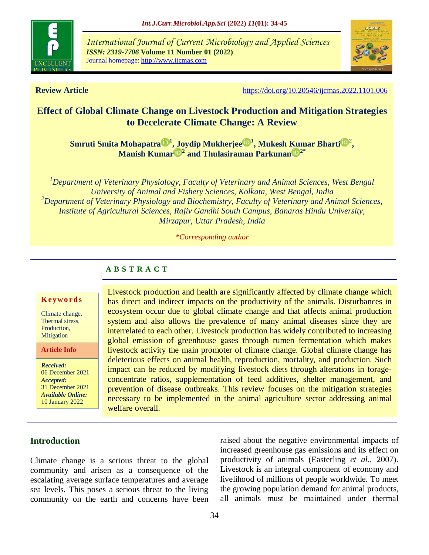

*International Journal of Current Microbiology and Applied Sciences ISSN: 2319-7706* **Volume 11 Number 01 (2022)**  Journal homepage: http://www.ijcmas.com



**Review Article <https://doi.org/10.20546/ijcmas.2022.1101.006>** 

# **Effect of Global Climate Change on Livestock Production and Mitigation Strategies to Decelerate Climate Change: A Review**

**Smruti Smita [Mohapatra](https://orcid.org/0000-0001-7330-7845) <sup>1</sup> , Joydip [Mukherjee](https://orcid.org/0000-0002-3935-5314) <sup>1</sup> , [Mukesh](https://orcid.org/0000-0001-8538-0644) Kumar Bhart[i](https://orcid.org/0000-0001-8538-0644) <sup>2</sup> , [Manish](https://orcid.org/0000-0002-9224-2407) Kuma[r](https://orcid.org/0000-0002-9224-2407) <sup>2</sup> and [Thulasiraman](https://orcid.org/0000-0003-0044-3445) Parkuna[n](https://orcid.org/0000-0003-0044-3445) 2\***

*<sup>1</sup>Department of Veterinary Physiology, Faculty of Veterinary and Animal Sciences, West Bengal University of Animal and Fishery Sciences, Kolkata, West Bengal, India <sup>2</sup>Department of Veterinary Physiology and Biochemistry, Faculty of Veterinary and Animal Sciences, Institute of Agricultural Sciences, Rajiv Gandhi South Campus, Banaras Hindu University, Mirzapur, Uttar Pradesh, India*

*\*Corresponding author*

## **A B S T R A C T**

#### **Key w o rd s**

Climate change, Thermal stress, Production, **Mitigation** 

**Article Info**

*Received:* 06 December 2021 *Accepted:* 31 December 2021 *Available Online:* 10 January 2022

Livestock production and health are significantly affected by climate change which has direct and indirect impacts on the productivity of the animals. Disturbances in ecosystem occur due to global climate change and that affects animal production system and also allows the prevalence of many animal diseases since they are interrelated to each other. Livestock production has widely contributed to increasing global emission of greenhouse gases through rumen fermentation which makes livestock activity the main promoter of climate change. Global climate change has deleterious effects on animal health, reproduction, mortality, and production. Such impact can be reduced by modifying livestock diets through alterations in forageconcentrate ratios, supplementation of feed additives, shelter management, and prevention of disease outbreaks. This review focuses on the mitigation strategies necessary to be implemented in the animal agriculture sector addressing animal welfare overall.

# **Introduction**

Climate change is a serious threat to the global community and arisen as a consequence of the escalating average surface temperatures and average sea levels. This poses a serious threat to the living community on the earth and concerns have been raised about the negative environmental impacts of increased greenhouse gas emissions and its effect on productivity of animals (Easterling *et al.,* 2007). Livestock is an integral component of economy and livelihood of millions of people worldwide. To meet the growing population demand for animal products, all animals must be maintained under thermal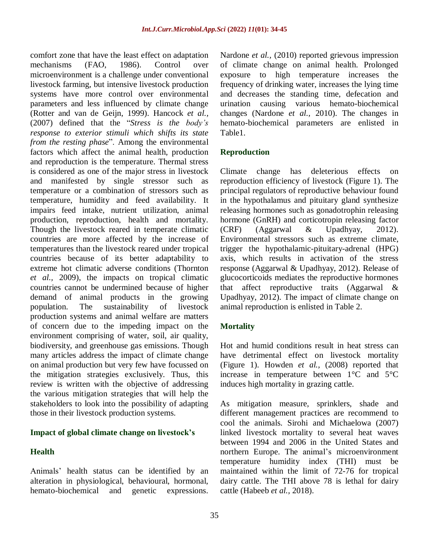comfort zone that have the least effect on adaptation mechanisms (FAO, 1986). Control over microenvironment is a challenge under conventional livestock farming, but intensive livestock production systems have more control over environmental parameters and less influenced by climate change (Rotter and van de Geijn, 1999). Hancock *et al.,* (2007) defined that the "*Stress is the body's response to exterior stimuli which shifts its state from the resting phase*". Among the environmental factors which affect the animal health, production and reproduction is the temperature. Thermal stress is considered as one of the major stress in livestock and manifested by single stressor such as temperature or a combination of stressors such as temperature, humidity and feed availability. It impairs feed intake, nutrient utilization, animal production, reproduction, health and mortality. Though the livestock reared in temperate climatic countries are more affected by the increase of temperatures than the livestock reared under tropical countries because of its better adaptability to extreme hot climatic adverse conditions (Thornton *et al.,* 2009), the impacts on tropical climatic countries cannot be undermined because of higher demand of animal products in the growing population. The sustainability of livestock production systems and animal welfare are matters of concern due to the impeding impact on the environment comprising of water, soil, air quality, biodiversity, and greenhouse gas emissions. Though many articles address the impact of climate change on animal production but very few have focussed on the mitigation strategies exclusively. Thus, this review is written with the objective of addressing the various mitigation strategies that will help the stakeholders to look into the possibility of adapting those in their livestock production systems.

#### **Impact of global climate change on livestock's**

# **Health**

Animals" health status can be identified by an alteration in physiological, behavioural, hormonal, hemato-biochemical and genetic expressions. Nardone *et al.,* (2010) reported grievous impression of climate change on animal health. Prolonged exposure to high temperature increases the frequency of drinking water, increases the lying time and decreases the standing time, defecation and urination causing various hemato-biochemical changes (Nardone *et al.,* 2010). The changes in hemato-biochemical parameters are enlisted in Table1.

## **Reproduction**

Climate change has deleterious effects on reproduction efficiency of livestock (Figure 1). The principal regulators of reproductive behaviour found in the hypothalamus and pituitary gland synthesize releasing hormones such as gonadotrophin releasing hormone (GnRH) and corticotropin releasing factor (CRF) (Aggarwal & Upadhyay, 2012). Environmental stressors such as extreme climate, trigger the hypothalamic-pituitary-adrenal (HPG) axis, which results in activation of the stress response (Aggarwal & Upadhyay, 2012). Release of glucocorticoids mediates the reproductive hormones that affect reproductive traits (Aggarwal & Upadhyay, 2012). The impact of climate change on animal reproduction is enlisted in Table 2.

# **Mortality**

Hot and humid conditions result in heat stress can have detrimental effect on livestock mortality (Figure 1). Howden *et al.,* (2008) reported that increase in temperature between 1°C and 5°C induces high mortality in grazing cattle.

As mitigation measure, sprinklers, shade and different management practices are recommend to cool the animals. Sirohi and Michaelowa (2007) linked livestock mortality to several heat waves between 1994 and 2006 in the United States and northern Europe. The animal"s microenvironment temperature humidity index (THI) must be maintained within the limit of 72-76 for tropical dairy cattle. The THI above 78 is lethal for dairy cattle (Habeeb *et al.,* 2018).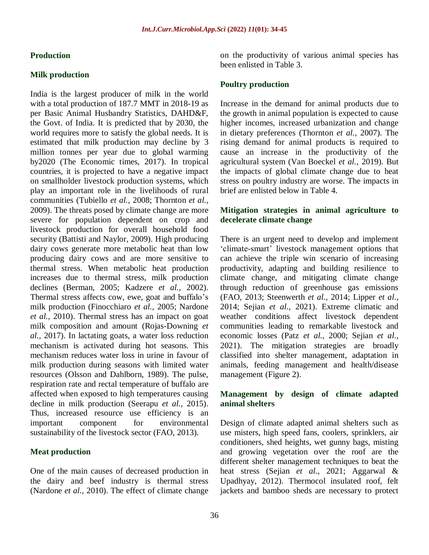#### **Production**

#### **Milk production**

India is the largest producer of milk in the world with a total production of 187.7 MMT in 2018-19 as per Basic Animal Husbandry Statistics, DAHD&F, the Govt. of India. It is predicted that by 2030, the world requires more to satisfy the global needs. It is estimated that milk production may decline by 3 million tonnes per year due to global warming by2020 (The Economic times, 2017). In tropical countries, it is projected to have a negative impact on smallholder livestock production systems, which play an important role in the livelihoods of rural communities (Tubiello *et al.,* 2008; Thornton *et al.,* 2009). The threats posed by climate change are more severe for population dependent on crop and livestock production for overall household food security (Battisti and Naylor, 2009). High producing dairy cows generate more metabolic heat than low producing dairy cows and are more sensitive to thermal stress. When metabolic heat production increases due to thermal stress, milk production declines (Berman, 2005; Kadzere *et al.,* 2002). Thermal stress affects cow, ewe, goat and buffalo"s milk production (Finocchiaro *et al.,* 2005; Nardone *et al.,* 2010). Thermal stress has an impact on goat milk composition and amount (Rojas-Downing *et al.,* 2017). In lactating goats, a water loss reduction mechanism is activated during hot seasons. This mechanism reduces water loss in urine in favour of milk production during seasons with limited water resources (Olsson and Dahlborn, 1989). The pulse, respiration rate and rectal temperature of buffalo are affected when exposed to high temperatures causing decline in milk production (Seerapu *et al.,* 2015). Thus, increased resource use efficiency is an important component for environmental sustainability of the livestock sector (FAO, 2013).

#### **Meat production**

One of the main causes of decreased production in the dairy and beef industry is thermal stress (Nardone *et al.,* 2010). The effect of climate change on the productivity of various animal species has been enlisted in Table 3.

#### **Poultry production**

Increase in the demand for animal products due to the growth in animal population is expected to cause higher incomes, increased urbanization and change in dietary preferences (Thornton *et al.,* 2007). The rising demand for animal products is required to cause an increase in the productivity of the agricultural system (Van Boeckel *et al.,* 2019). But the impacts of global climate change due to heat stress on poultry industry are worse. The impacts in brief are enlisted below in Table 4.

## **Mitigation strategies in animal agriculture to decelerate climate change**

There is an urgent need to develop and implement "climate-smart" livestock management options that can achieve the triple win scenario of increasing productivity, adapting and building resilience to climate change, and mitigating climate change through reduction of greenhouse gas emissions (FAO, 2013; Steenwerth *et al.,* 2014; Lipper *et al.,* 2014; Sejian *et al.,* 2021). Extreme climatic and weather conditions affect livestock dependent communities leading to remarkable livestock and economic losses (Patz *et al.,* 2000; Sejian *et al.,* 2021). The mitigation strategies are broadly classified into shelter management, adaptation in animals, feeding management and health/disease management (Figure 2).

## **Management by design of climate adapted animal shelters**

Design of climate adapted animal shelters such as use misters, high speed fans, coolers, sprinklers, air conditioners, shed heights, wet gunny bags, misting and growing vegetation over the roof are the different shelter management techniques to beat the heat stress (Sejian *et al.,* 2021; Aggarwal & Upadhyay, 2012). Thermocol insulated roof, felt jackets and bamboo sheds are necessary to protect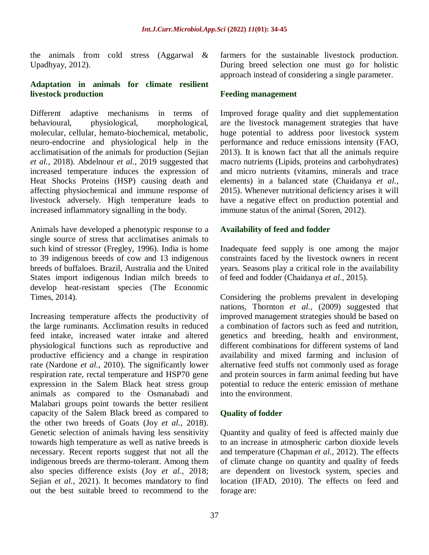the animals from cold stress (Aggarwal & Upadhyay, 2012).

# **Adaptation in animals for climate resilient livestock production**

Different adaptive mechanisms in terms of behavioural, physiological, morphological, molecular, cellular, hemato-biochemical, metabolic, neuro-endocrine and physiological help in the acclimatisation of the animals for production (Sejian *et al.,* 2018). Abdelnour *et al.,* 2019 suggested that increased temperature induces the expression of Heat Shocks Proteins (HSP) causing death and affecting physiochemical and immune response of livestock adversely. High temperature leads to increased inflammatory signalling in the body.

Animals have developed a phenotypic response to a single source of stress that acclimatises animals to such kind of stressor (Fregley, 1996). India is home to 39 indigenous breeds of cow and 13 indigenous breeds of buffaloes. Brazil, Australia and the United States import indigenous Indian milch breeds to develop heat-resistant species (The Economic Times, 2014).

Increasing temperature affects the productivity of the large ruminants. Acclimation results in reduced feed intake, increased water intake and altered physiological functions such as reproductive and productive efficiency and a change in respiration rate (Nardone *et al.,* 2010). The significantly lower respiration rate, rectal temperature and HSP70 gene expression in the Salem Black heat stress group animals as compared to the Osmanabadi and Malabari groups point towards the better resilient capacity of the Salem Black breed as compared to the other two breeds of Goats (Joy *et al.,* 2018). Genetic selection of animals having less sensitivity towards high temperature as well as native breeds is necessary. Recent reports suggest that not all the indigenous breeds are thermo-tolerant. Among them also species difference exists (Joy *et al.,* 2018; Sejian *et al.,* 2021). It becomes mandatory to find out the best suitable breed to recommend to the

farmers for the sustainable livestock production. During breed selection one must go for holistic approach instead of considering a single parameter.

#### **Feeding management**

Improved forage quality and diet supplementation are the livestock management strategies that have huge potential to address poor livestock system performance and reduce emissions intensity (FAO, 2013). It is known fact that all the animals require macro nutrients (Lipids, proteins and carbohydrates) and micro nutrients (vitamins, minerals and trace elements) in a balanced state (Chaidanya *et al.,* 2015). Whenever nutritional deficiency arises it will have a negative effect on production potential and immune status of the animal (Soren, 2012).

## **Availability of feed and fodder**

Inadequate feed supply is one among the major constraints faced by the livestock owners in recent years. Seasons play a critical role in the availability of feed and fodder (Chaidanya *et al.,* 2015).

Considering the problems prevalent in developing nations, Thornton *et al.,* (2009) suggested that improved management strategies should be based on a combination of factors such as feed and nutrition, genetics and breeding, health and environment, different combinations for different systems of land availability and mixed farming and inclusion of alternative feed stuffs not commonly used as forage and protein sources in farm animal feeding but have potential to reduce the enteric emission of methane into the environment.

# **Quality of fodder**

Quantity and quality of feed is affected mainly due to an increase in atmospheric carbon dioxide levels and temperature (Chapman *et al.,* 2012). The effects of climate change on quantity and quality of feeds are dependent on livestock system, species and location (IFAD, 2010). The effects on feed and forage are: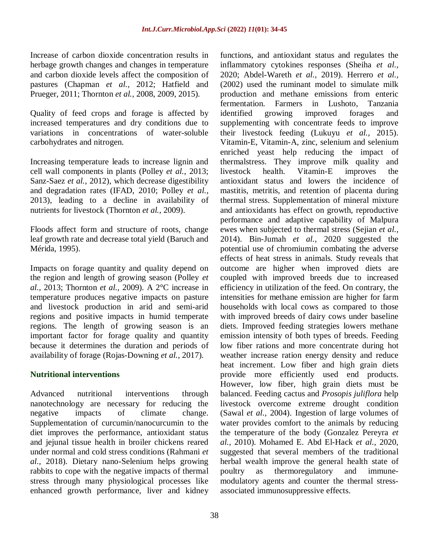Increase of carbon dioxide concentration results in herbage growth changes and changes in temperature and carbon dioxide levels affect the composition of pastures (Chapman *et al.,* 2012; Hatfield and Prueger, 2011; Thornton *et al.,* 2008, 2009, 2015).

Quality of feed crops and forage is affected by increased temperatures and dry conditions due to variations in concentrations of water-soluble carbohydrates and nitrogen.

Increasing temperature leads to increase lignin and cell wall components in plants (Polley *et al.,* 2013; Sanz-Saez *et al.,* 2012), which decrease digestibility and degradation rates (IFAD, 2010; Polley *et al.,* 2013), leading to a decline in availability of nutrients for livestock (Thornton *et al.,* 2009).

Floods affect form and structure of roots, change leaf growth rate and decrease total yield (Baruch and Mérida, 1995).

Impacts on forage quantity and quality depend on the region and length of growing season (Polley *et al.,* 2013; Thornton *et al.,* 2009). A 2°C increase in temperature produces negative impacts on pasture and livestock production in arid and semi-arid regions and positive impacts in humid temperate regions. The length of growing season is an important factor for forage quality and quantity because it determines the duration and periods of availability of forage (Rojas-Downing *et al.,* 2017).

# **Nutritional interventions**

Advanced nutritional interventions through nanotechnology are necessary for reducing the negative impacts of climate change. Supplementation of curcumin/nanocurcumin to the diet improves the performance, antioxidant status and jejunal tissue health in broiler chickens reared under normal and cold stress conditions (Rahmani *et al.,* 2018). Dietary nano-Selenium helps growing rabbits to cope with the negative impacts of thermal stress through many physiological processes like enhanced growth performance, liver and kidney functions, and antioxidant status and regulates the inflammatory cytokines responses (Sheiha *et al.,* 2020; Abdel-Wareth *et al.,* 2019). Herrero *et al.,* (2002) used the ruminant model to simulate milk production and methane emissions from enteric fermentation. Farmers in Lushoto, Tanzania identified growing improved forages and supplementing with concentrate feeds to improve their livestock feeding (Lukuyu *et al.,* 2015). Vitamin-E, Vitamin-A, zinc, selenium and selenium enriched yeast help reducing the impact of thermalstress. They improve milk quality and livestock health. Vitamin-E improves the antioxidant status and lowers the incidence of mastitis, metritis, and retention of placenta during thermal stress. Supplementation of mineral mixture and antioxidants has effect on growth, reproductive performance and adaptive capability of Malpura ewes when subjected to thermal stress (Sejian *et al.,* 2014). Bin-Jumah *et al.,* 2020 suggested the potential use of chromiumin combating the adverse effects of heat stress in animals. Study reveals that outcome are higher when improved diets are coupled with improved breeds due to increased efficiency in utilization of the feed. On contrary, the intensities for methane emission are higher for farm households with local cows as compared to those with improved breeds of dairy cows under baseline diets. Improved feeding strategies lowers methane emission intensity of both types of breeds. Feeding low fiber rations and more concentrate during hot weather increase ration energy density and reduce heat increment. Low fiber and high grain diets provide more efficiently used end products. However, low fiber, high grain diets must be balanced. Feeding cactus and *Prosopis juliflora* help livestock overcome extreme drought condition (Sawal *et al.,* 2004). Ingestion of large volumes of water provides comfort to the animals by reducing the temperature of the body (Gonzalez Pereyra *et al.,* 2010). Mohamed E. Abd El-Hack *et al.,* 2020, suggested that several members of the traditional herbal wealth improve the general health state of poultry as thermoregulatory and immunemodulatory agents and counter the thermal stressassociated immunosuppressive effects.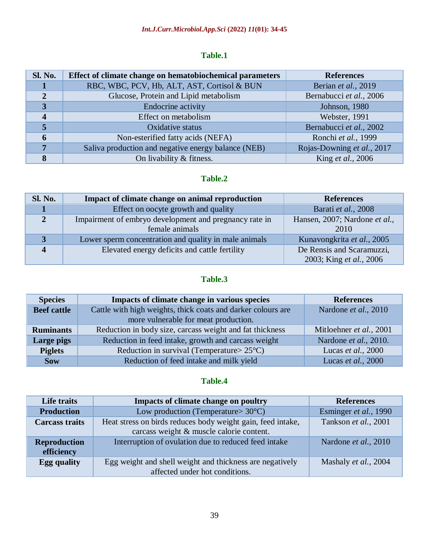# **Table.1**

| <b>Sl. No.</b>          | Effect of climate change on hematobiochemical parameters | <b>References</b>          |
|-------------------------|----------------------------------------------------------|----------------------------|
|                         | RBC, WBC, PCV, Hb, ALT, AST, Cortisol & BUN              | Berian et al., 2019        |
| $\overline{2}$          | Glucose, Protein and Lipid metabolism                    | Bernabucci et al., 2006    |
| 3                       | Endocrine activity                                       | Johnson, 1980              |
| $\overline{\mathbf{4}}$ | Effect on metabolism                                     | Webster, 1991              |
| 5                       | Oxidative status                                         | Bernabucci et al., 2002    |
| 6                       | Non-esterified fatty acids (NEFA)                        | Ronchi et al., 1999        |
| 7                       | Saliva production and negative energy balance (NEB)      | Rojas-Downing et al., 2017 |
| 8                       | On livability & fitness.                                 | King <i>et al.</i> , 2006  |

# **Table.2**

| <b>Sl. No.</b> | Impact of climate change on animal reproduction        | <b>References</b>             |
|----------------|--------------------------------------------------------|-------------------------------|
|                | Effect on oocyte growth and quality                    | Barati et al., 2008           |
| $\overline{2}$ | Impairment of embryo development and pregnancy rate in | Hansen, 2007; Nardone et al., |
|                | female animals                                         | 2010                          |
| 3              | Lower sperm concentration and quality in male animals  | Kunavongkrita et al., 2005    |
| Δ              | Elevated energy deficits and cattle fertility          | De Rensis and Scaramuzzi,     |
|                |                                                        | 2003; King et al., 2006       |

# **Table.3**

| <b>Species</b>     | Impacts of climate change in various species                 | <b>References</b>            |
|--------------------|--------------------------------------------------------------|------------------------------|
| <b>Beef</b> cattle | Cattle with high weights, thick coats and darker colours are | Nardone et al., 2010         |
|                    | more vulnerable for meat production.                         |                              |
| <b>Ruminants</b>   | Reduction in body size, carcass weight and fat thickness     | Mitloehner et al., 2001      |
| Large pigs         | Reduction in feed intake, growth and carcass weight          | Nardone et al., 2010.        |
| <b>Piglets</b>     | Reduction in survival (Temperature $> 25^{\circ}$ C)         | Lucas <i>et al.</i> , $2000$ |
| <b>Sow</b>         | Reduction of feed intake and milk yield                      | Lucas et al., 2000           |

# **Table.4**

| Life traits                       | <b>Impacts of climate change on poultry</b>                                                             | <b>References</b>     |
|-----------------------------------|---------------------------------------------------------------------------------------------------------|-----------------------|
| <b>Production</b>                 | Low production (Temperature $> 30^{\circ}$ C)                                                           | Esminger et al., 1990 |
| <b>Carcass traits</b>             | Heat stress on birds reduces body weight gain, feed intake,<br>carcass weight & muscle calorie content. | Tankson et al., 2001  |
| <b>Reproduction</b><br>efficiency | Interruption of ovulation due to reduced feed intake                                                    | Nardone et al., 2010  |
| <b>Egg quality</b>                | Egg weight and shell weight and thickness are negatively<br>affected under hot conditions.              | Mashaly et al., 2004  |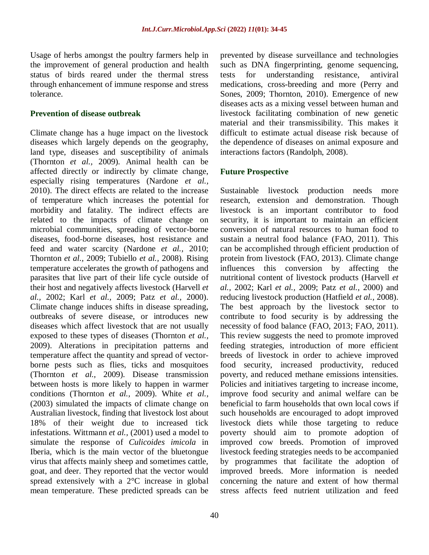Usage of herbs amongst the poultry farmers help in the improvement of general production and health status of birds reared under the thermal stress through enhancement of immune response and stress tolerance.

#### **Prevention of disease outbreak**

Climate change has a huge impact on the livestock diseases which largely depends on the geography, land type, diseases and susceptibility of animals (Thornton *et al.,* 2009). Animal health can be affected directly or indirectly by climate change, especially rising temperatures (Nardone *et al.,* 2010). The direct effects are related to the increase of temperature which increases the potential for morbidity and fatality. The indirect effects are related to the impacts of climate change on microbial communities, spreading of vector-borne diseases, food-borne diseases, host resistance and feed and water scarcity (Nardone *et al.,* 2010; Thornton *et al.,* 2009; Tubiello *et al.,* 2008). Rising temperature accelerates the growth of pathogens and parasites that live part of their life cycle outside of their host and negatively affects livestock (Harvell *et al.,* 2002; Karl *et al.,* 2009; Patz *et al.,* 2000). Climate change induces shifts in disease spreading, outbreaks of severe disease, or introduces new diseases which affect livestock that are not usually exposed to these types of diseases (Thornton *et al.,* 2009). Alterations in precipitation patterns and temperature affect the quantity and spread of vectorborne pests such as flies, ticks and mosquitoes (Thornton *et al.,* 2009). Disease transmission between hosts is more likely to happen in warmer conditions (Thornton *et al.,* 2009). White *et al.,* (2003) simulated the impacts of climate change on Australian livestock, finding that livestock lost about 18% of their weight due to increased tick infestations. Wittmann *et al.,* (2001) used a model to simulate the response of *Culicoides imicola* in Iberia, which is the main vector of the bluetongue virus that affects mainly sheep and sometimes cattle, goat, and deer. They reported that the vector would spread extensively with a 2°C increase in global mean temperature. These predicted spreads can be

prevented by disease surveillance and technologies such as DNA fingerprinting, genome sequencing, tests for understanding resistance, antiviral medications, cross-breeding and more (Perry and Sones, 2009; Thornton, 2010). Emergence of new diseases acts as a mixing vessel between human and livestock facilitating combination of new genetic material and their transmissibility. This makes it difficult to estimate actual disease risk because of the dependence of diseases on animal exposure and interactions factors (Randolph, 2008).

#### **Future Prospective**

Sustainable livestock production needs more research, extension and demonstration. Though livestock is an important contributor to food security, it is important to maintain an efficient conversion of natural resources to human food to sustain a neutral food balance (FAO, 2011). This can be accomplished through efficient production of protein from livestock (FAO, 2013). Climate change influences this conversion by affecting the nutritional content of livestock products (Harvell *et al.,* 2002; Karl *et al.,* 2009; Patz *et al.,* 2000) and reducing livestock production (Hatfield *et al.,* 2008). The best approach by the livestock sector to contribute to food security is by addressing the necessity of food balance (FAO, 2013; FAO, 2011). This review suggests the need to promote improved feeding strategies, introduction of more efficient breeds of livestock in order to achieve improved food security, increased productivity, reduced poverty, and reduced methane emissions intensities. Policies and initiatives targeting to increase income, improve food security and animal welfare can be beneficial to farm households that own local cows if such households are encouraged to adopt improved livestock diets while those targeting to reduce poverty should aim to promote adoption of improved cow breeds. Promotion of improved livestock feeding strategies needs to be accompanied by programmes that facilitate the adoption of improved breeds. More information is needed concerning the nature and extent of how thermal stress affects feed nutrient utilization and feed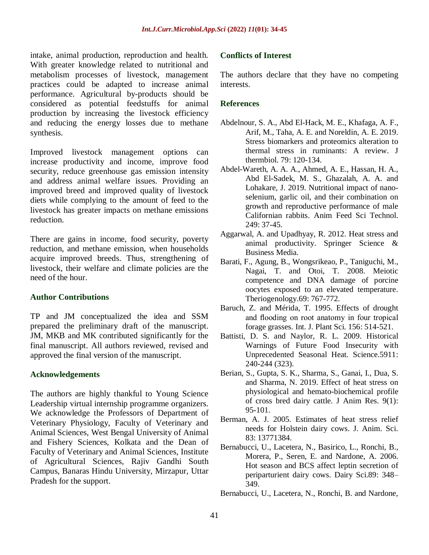intake, animal production, reproduction and health. With greater knowledge related to nutritional and metabolism processes of livestock, management practices could be adapted to increase animal performance. Agricultural by-products should be considered as potential feedstuffs for animal production by increasing the livestock efficiency and reducing the energy losses due to methane synthesis.

Improved livestock management options can increase productivity and income, improve food security, reduce greenhouse gas emission intensity and address animal welfare issues. Providing an improved breed and improved quality of livestock diets while complying to the amount of feed to the livestock has greater impacts on methane emissions reduction.

There are gains in income, food security, poverty reduction, and methane emission, when households acquire improved breeds. Thus, strengthening of livestock, their welfare and climate policies are the need of the hour.

#### **Author Contributions**

TP and JM conceptualized the idea and SSM prepared the preliminary draft of the manuscript. JM, MKB and MK contributed significantly for the final manuscript. All authors reviewed, revised and approved the final version of the manuscript.

#### **Acknowledgements**

The authors are highly thankful to Young Science Leadership virtual internship programme organizers. We acknowledge the Professors of Department of Veterinary Physiology, Faculty of Veterinary and Animal Sciences, West Bengal University of Animal and Fishery Sciences, Kolkata and the Dean of Faculty of Veterinary and Animal Sciences, Institute of Agricultural Sciences, Rajiv Gandhi South Campus, Banaras Hindu University, Mirzapur, Uttar Pradesh for the support.

#### **Conflicts of Interest**

The authors declare that they have no competing interests.

#### **References**

- Abdelnour, S. A., Abd El-Hack, M. E., Khafaga, A. F., Arif, M., Taha, A. E. and Noreldin, A. E. 2019. Stress biomarkers and proteomics alteration to thermal stress in ruminants: A review. J thermbiol. 79: 120-134.
- Abdel-Wareth, A. A. A., Ahmed, A. E., Hassan, H. A., Abd El-Sadek, M. S., Ghazalah, A. A. and Lohakare, J. 2019. Nutritional impact of nanoselenium, garlic oil, and their combination on growth and reproductive performance of male Californian rabbits. Anim Feed Sci Technol. 249: 37-45.
- Aggarwal, A. and Upadhyay, R. 2012. Heat stress and animal productivity. Springer Science & Business Media.
- Barati, F., Agung, B., Wongsrikeao, P., Taniguchi, M., Nagai, T. and Otoi, T. 2008. Meiotic competence and DNA damage of porcine oocytes exposed to an elevated temperature. Theriogenology.69: 767-772.
- Baruch, Z. and Mérida, T. 1995. Effects of drought and flooding on root anatomy in four tropical forage grasses. Int. J. Plant Sci. 156: 514-521.
- Battisti, D. S. and Naylor, R. L. 2009. Historical Warnings of Future Food Insecurity with Unprecedented Seasonal Heat. Science.5911: 240-244 (323).
- Berian, S., Gupta, S. K., Sharma, S., Ganai, I., Dua, S. and Sharma, N. 2019. Effect of heat stress on physiological and hemato-biochemical profile of cross bred dairy cattle. J Anim Res. 9(1): 95-101.
- Berman, A. J. 2005. Estimates of heat stress relief needs for Holstein dairy cows. J. Anim. Sci. 83: 13771384.
- Bernabucci, U., Lacetera, N., Basirico, L., Ronchi, B., Morera, P., Seren, E. and Nardone, A. 2006. Hot season and BCS affect leptin secretion of periparturient dairy cows. Dairy Sci.89: 348– 349.
- Bernabucci, U., Lacetera, N., Ronchi, B. and Nardone,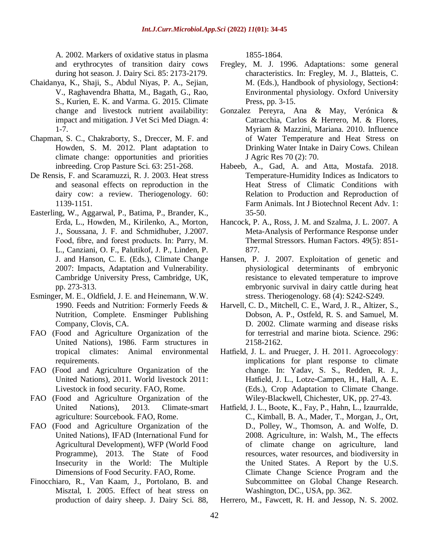A. 2002. Markers of oxidative status in plasma and erythrocytes of transition dairy cows during hot season. J. Dairy Sci. 85: 2173-2179.

- Chaidanya, K., Shaji, S., Abdul Niyas, P. A., Sejian, V., Raghavendra Bhatta, M., Bagath, G., Rao, S., Kurien, E. K. and Varma. G. 2015. Climate change and livestock nutrient availability: impact and mitigation. J Vet Sci Med Diagn. 4: 1-7.
- Chapman, S. C., Chakraborty, S., Dreccer, M. F. and Howden, S. M. 2012. Plant adaptation to climate change: opportunities and priorities inbreeding. Crop Pasture Sci. 63: 251-268.
- De Rensis, F. and Scaramuzzi, R. J. 2003. Heat stress and seasonal effects on reproduction in the dairy cow: a review. Theriogenology. 60: 1139-1151.
- Easterling, W., Aggarwal, P., Batima, P., Brander, K., Erda, L., Howden, M., Kirilenko, A., Morton, J., Soussana, J. F. and Schmidhuber, J.2007. Food, fibre, and forest products. In: Parry, M. L., Canziani, O. F., Palutikof, J. P., Linden, P. J. and Hanson, C. E. (Eds.), Climate Change 2007: Impacts, Adaptation and Vulnerability. Cambridge University Press, Cambridge, UK, pp. 273-313.
- Esminger, M. E., Oldfield, J. E. and Heinemann, W.W. 1990. Feeds and Nutrition: Formerly Feeds & Nutrition, Complete. Ensminger Publishing Company, Clovis, CA.
- FAO (Food and Agriculture Organization of the United Nations), 1986. Farm structures in tropical climates: Animal environmental requirements.
- FAO (Food and Agriculture Organization of the United Nations), 2011. World livestock 2011: Livestock in food security. FAO, Rome.
- FAO (Food and Agriculture Organization of the United Nations), 2013. Climate-smart agriculture: Sourcebook. FAO, Rome.
- FAO (Food and Agriculture Organization of the United Nations), IFAD (International Fund for Agricultural Development), WFP (World Food Programme), 2013. The State of Food Insecurity in the World: The Multiple Dimensions of Food Security. FAO, Rome.
- Finocchiaro, R., Van Kaam, J., Portolano, B. and Misztal, I. 2005. Effect of heat stress on production of dairy sheep. J. Dairy Sci. 88,

1855-1864.

- Fregley, M. J. 1996. Adaptations: some general characteristics. In: Fregley, M. J., Blatteis, C. M. (Eds.), Handbook of physiology, Section4: Environmental physiology. Oxford University Press, pp. 3-15.
- Gonzalez Pereyra, Ana & May, Verónica & Catracchia, Carlos & Herrero, M. & Flores, Myriam & Mazzini, Mariana. 2010. Influence of Water Temperature and Heat Stress on Drinking Water Intake in Dairy Cows. Chilean J Agric Res 70 (2): 70.
- Habeeb, A., Gad, A. and Atta, Mostafa. 2018. Temperature-Humidity Indices as Indicators to Heat Stress of Climatic Conditions with Relation to Production and Reproduction of Farm Animals. Int J Biotechnol Recent Adv. 1: 35-50.
- Hancock, P. A., Ross, J. M. and Szalma, J. L. 2007. A Meta-Analysis of Performance Response under Thermal Stressors. Human Factors. 49(5): 851- 877.
- Hansen, P. J. 2007. Exploitation of genetic and physiological determinants of embryonic resistance to elevated temperature to improve embryonic survival in dairy cattle during heat stress. Theriogenology. 68 (4): S242-S249.
- Harvell, C. D., Mitchell, C. E., Ward, J. R., Altizer, S., Dobson, A. P., Ostfeld, R. S. and Samuel, M. D. 2002. Climate warming and disease risks for terrestrial and marine biota. Science. 296: 2158-2162.
- Hatfield, J. L. and Prueger, J. H. 2011. Agroecology: implications for plant response to climate change. In: Yadav, S. S., Redden, R. J., Hatfield, J. L., Lotze-Campen, H., Hall, A. E. (Eds.), Crop Adaptation to Climate Change. Wiley-Blackwell, Chichester, UK, pp. 27-43.
- Hatfield, J. L., Boote, K., Fay, P., Hahn, L., Izaurralde, C., Kimball, B. A., Mader, T., Morgan, J., Ort, D., Polley, W., Thomson, A. and Wolfe, D. 2008. Agriculture, in: Walsh, M., The effects of climate change on agriculture, land resources, water resources, and biodiversity in the United States. A Report by the U.S. Climate Change Science Program and the Subcommittee on Global Change Research. Washington, DC., USA, pp. 362.

Herrero, M., Fawcett, R. H. and Jessop, N. S. 2002.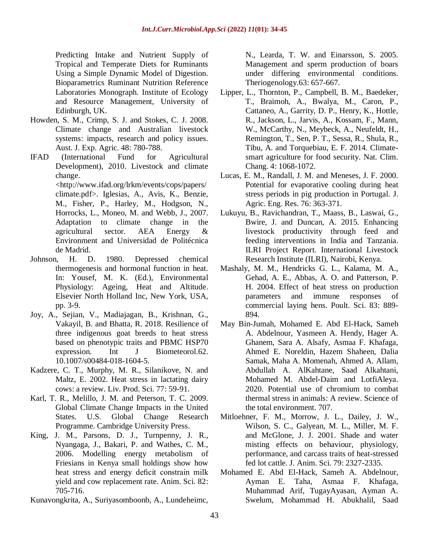Predicting Intake and Nutrient Supply of Tropical and Temperate Diets for Ruminants Using a Simple Dynamic Model of Digestion. Bioparametrics Ruminant Nutrition Reference Laboratories Monograph. Institute of Ecology and Resource Management, University of Edinburgh, UK.

- Howden, S. M., Crimp, S. J. and Stokes, C. J. 2008. Climate change and Australian livestock systems: impacts, research and policy issues. Aust. J. Exp. Agric. 48: 780-788.
- IFAD (International Fund for Agricultural Development), 2010. Livestock and climate change. <http://www.ifad.org/lrkm/events/cops/papers/ climate.pdf>. Iglesias, A., Avis, K., Benzie, M., Fisher, P., Harley, M., Hodgson, N., Horrocks, L., Moneo, M. and Webb, J., 2007. Adaptation to climate change in the agricultural sector. AEA Energy & Environment and Universidad de Politécnica de Madrid.
- Johnson, H. D. 1980. Depressed chemical thermogenesis and hormonal function in heat. In: Yousef, M. K. (Ed.), Environmental Physiology: Ageing, Heat and Altitude. Elsevier North Holland Inc, New York, USA, pp. 3-9.
- Joy, A., Sejian, V., Madiajagan, B., Krishnan, G., Vakayil, B. and Bhatta, R. 2018. Resilience of three indigenous goat breeds to heat stress based on phenotypic traits and PBMC HSP70 expression. Int J Biometeorol.62. 10.1007/s00484-018-1604-5.
- Kadzere, C. T., Murphy, M. R., Silanikove, N. and Maltz, E. 2002. Heat stress in lactating dairy cows: a review. Liv. Prod. Sci. 77: 59-91.
- Karl, T. R., Melillo, J. M. and Peterson, T. C. 2009. Global Climate Change Impacts in the United States. U.S. Global Change Research Programme. Cambridge University Press.
- King, J. M., Parsons, D. J., Turnpenny, J. R., Nyangaga, J., Bakari, P. and Wathes, C. M., 2006. Modelling energy metabolism of Friesians in Kenya small holdings show how heat stress and energy deficit constrain milk yield and cow replacement rate. Anim. Sci. 82: 705-716.
- Kunavongkrita, A., Suriyasomboonb, A., Lundeheimc,

N., Learda, T. W. and Einarsson, S. 2005. Management and sperm production of boars under differing environmental conditions. Theriogenology.63: 657-667.

- Lipper, L., Thornton, P., Campbell, B. M., Baedeker, T., Braimoh, A., Bwalya, M., Caron, P., Cattaneo, A., Garrity, D. P., Henry, K., Hottle, R., Jackson, L., Jarvis, A., Kossam, F., Mann, W., McCarthy, N., Meybeck, A., Neufeldt, H., Remington, T., Sen, P. T., Sessa, R., Shula, R., Tibu, A. and Torquebiau, E. F. 2014. Climatesmart agriculture for food security. Nat. Clim. Chang. 4: 1068-1072.
- Lucas, E. M., Randall, J. M. and Meneses, J. F. 2000. Potential for evaporative cooling during heat stress periods in pig production in Portugal*.* J. Agric. Eng. Res. 76: 363-371.
- Lukuyu, B., Ravichandran, T., Maass, B., Laswai, G., Bwire, J. and Duncan, A. 2015. Enhancing livestock productivity through feed and feeding interventions in India and Tanzania. ILRI Project Report. International Livestock Research Institute (ILRI), Nairobi, Kenya.
- Mashaly, M. M., Hendricks G. L., Kalama, M. A., Gehad, A. E., Abbas, A. O. and Patterson, P. H. 2004. Effect of heat stress on production parameters and immune responses of commercial laying hens. Poult. Sci. 83: 889- 894.
- May Bin-Jumah, Mohamed E. Abd El-Hack, Sameh A. Abdelnour, Yasmeen A. Hendy, Hager A. Ghanem, Sara A. Alsafy, Asmaa F. Khafaga, Ahmed E. Noreldin, Hazem Shaheen, Dalia Samak, Maha A. Momenah, Ahmed A. Allam, Abdullah A. AlKahtane, Saad Alkahtani, Mohamed M. Abdel-Daim and LotfiAleya. 2020. Potential use of chromium to combat thermal stress in animals: A review. Science of the total environment. 707.
- Mitloehner, F. M., Morrow, J. L., Dailey, J. W., Wilson, S. C., Galyean, M. L., Miller, M. F. and McGlone, J. J. 2001. Shade and water misting effects on behaviour, physiology, performance, and carcass traits of heat-stressed fed lot cattle. J. Anim. Sci. 79: 2327-2335.
- Mohamed E. Abd El-Hack, Sameh A. Abdelnour, Ayman E. Taha, Asmaa F. Khafaga, Muhammad Arif, TugayAyasan, Ayman A. Swelum, Mohammad H. Abukhalil, Saad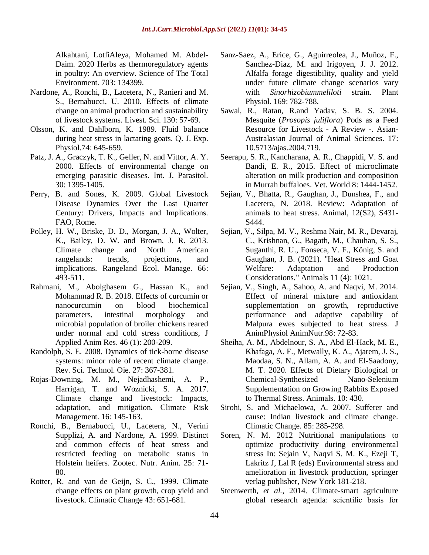Alkahtani, LotfiAleya, Mohamed M. Abdel-Daim. 2020 Herbs as thermoregulatory agents in poultry: An overview. Science of The Total Environment. 703: 134399.

- Nardone, A., Ronchi, B., Lacetera, N., Ranieri and M. S., Bernabucci, U. 2010. Effects of climate change on animal production and sustainability of livestock systems. Livest. Sci. 130: 57-69.
- Olsson, K. and Dahlborn, K. 1989. Fluid balance during heat stress in lactating goats. Q. J. Exp. Physiol.74: 645-659.
- Patz, J. A., Graczyk, T. K., Geller, N. and Vittor, A. Y. 2000. Effects of environmental change on emerging parasitic diseases. Int. J. Parasitol. 30: 1395-1405.
- Perry, B. and Sones, K. 2009. Global Livestock Disease Dynamics Over the Last Quarter Century: Drivers, Impacts and Implications. FAO, Rome.
- Polley, H. W., Briske, D. D., Morgan, J. A., Wolter, K., Bailey, D. W. and Brown, J. R. 2013. Climate change and North American rangelands: trends, projections, and implications. Rangeland Ecol. Manage. 66: 493-511.
- Rahmani, M., Abolghasem G., Hassan K., and Mohammad R. B. 2018. Effects of curcumin or nanocurcumin on blood biochemical parameters, intestinal morphology and microbial population of broiler chickens reared under normal and cold stress conditions, J Applied Anim Res. 46 (1): 200-209.
- Randolph, S. E. 2008. Dynamics of tick-borne disease systems: minor role of recent climate change. Rev. Sci. Technol. Oie. 27: 367-381.
- Rojas-Downing, M. M., Nejadhashemi, A. P., Harrigan, T. and Woznicki, S. A. 2017. Climate change and livestock: Impacts, adaptation, and mitigation. Climate Risk Management. 16: 145-163.
- Ronchi, B., Bernabucci, U., Lacetera, N., Verini Supplizi, A. and Nardone, A. 1999. Distinct and common effects of heat stress and restricted feeding on metabolic status in Holstein heifers. Zootec. Nutr. Anim. 25: 71- 80.
- Rotter, R. and van de Geijn, S. C., 1999. Climate change effects on plant growth, crop yield and livestock. Climatic Change 43: 651-681.
- Sanz-Saez, A., Erice, G., Aguirreolea, J., Muñoz, F., Sanchez-Diaz, M. and Irigoyen, J. J. 2012. Alfalfa forage digestibility, quality and yield under future climate change scenarios vary with *Sinorhizobiummeliloti* strain. Plant Physiol. 169: 782-788.
- Sawal, R., Ratan, R.and Yadav, S. B. S. 2004. Mesquite (*Prosopis juliflora*) Pods as a Feed Resource for Livestock - A Review -. Asian-Australasian Journal of Animal Sciences. 17: 10.5713/ajas.2004.719.
- Seerapu, S. R., Kancharana, A. R., Chappidi, V. S. and Bandi, E. R., 2015. Effect of microclimate alteration on milk production and composition in Murrah buffaloes. Vet. World 8: 1444-1452.
- Sejian, V., Bhatta, R., Gaughan, J., Dunshea, F., and Lacetera, N. 2018. Review: Adaptation of animals to heat stress. Animal, 12(S2), S431- S444.
- Sejian, V., Silpa, M. V., Reshma Nair, M. R., Devaraj, C., Krishnan, G., Bagath, M., Chauhan, S. S., Suganthi, R. U., Fonseca, V. F., König, S. and Gaughan, J. B. (2021). "Heat Stress and Goat Welfare: Adaptation and Production Considerations." Animals 11 (4): 1021.
- Sejian, V., Singh, A., Sahoo, A. and Naqvi, M. 2014. Effect of mineral mixture and antioxidant supplementation on growth, reproductive performance and adaptive capability of Malpura ewes subjected to heat stress. J AnimPhysiol AnimNutr.98: 72-83.
- Sheiha, A. M., Abdelnour, S. A., Abd El-Hack, M. E., Khafaga, A. F., Metwally, K. A., Ajarem, J. S., Maodaa, S. N., Allam, A. A. and El-Saadony, M. T. 2020. Effects of Dietary Biological or Chemical-Synthesized Nano-Selenium Supplementation on Growing Rabbits Exposed to Thermal Stress. Animals. 10: 430.
- Sirohi, S. and Michaelowa, A. 2007. Sufferer and cause: Indian livestock and climate change. Climatic Change. 85: 285-298.
- Soren, N. M. 2012 Nutritional manipulations to optimize productivity during environmental stress In: Sejain V, Naqvi S. M. K., Ezeji T, Lakritz J, Lal R (eds) Environmental stress and amelioration in livestock production, springer verlag publisher, New York 181-218.
- Steenwerth, *et al.*, 2014. Climate-smart agriculture global research agenda: scientific basis for